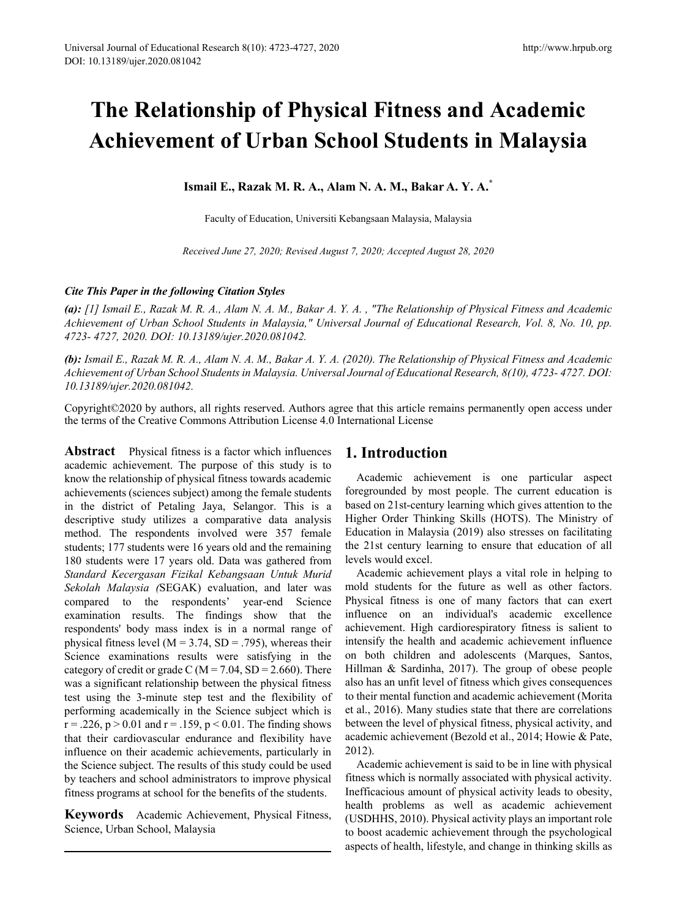# **The Relationship of Physical Fitness and Academic Achievement of Urban School Students in Malaysia**

**Ismail E., Razak M. R. A., Alam N. A. M., Bakar A. Y. A.\***

Faculty of Education, Universiti Kebangsaan Malaysia, Malaysia

*Received June 27, 2020; Revised August 7, 2020; Accepted August 28, 2020*

#### *Cite This Paper in the following Citation Styles*

*(a): [1] Ismail E., Razak M. R. A., Alam N. A. M., Bakar A. Y. A. , "The Relationship of Physical Fitness and Academic Achievement of Urban School Students in Malaysia," Universal Journal of Educational Research, Vol. 8, No. 10, pp. 4723- 4727, 2020. DOI: 10.13189/ujer.2020.081042.* 

*(b): Ismail E., Razak M. R. A., Alam N. A. M., Bakar A. Y. A. (2020). The Relationship of Physical Fitness and Academic Achievement of Urban School Students in Malaysia. Universal Journal of Educational Research, 8(10), 4723- 4727. DOI: 10.13189/ujer.2020.081042.* 

Copyright©2020 by authors, all rights reserved. Authors agree that this article remains permanently open access under the terms of the Creative Commons Attribution License 4.0 International License

**Abstract** Physical fitness is a factor which influences academic achievement. The purpose of this study is to know the relationship of physical fitness towards academic achievements (sciences subject) among the female students in the district of Petaling Jaya, Selangor. This is a descriptive study utilizes a comparative data analysis method. The respondents involved were 357 female students; 177 students were 16 years old and the remaining 180 students were 17 years old. Data was gathered from *Standard Kecergasan Fizikal Kebangsaan Untuk Murid Sekolah Malaysia (*SEGAK) evaluation, and later was compared to the respondents' year-end Science examination results. The findings show that the respondents' body mass index is in a normal range of physical fitness level ( $M = 3.74$ ,  $SD = .795$ ), whereas their Science examinations results were satisfying in the category of credit or grade C ( $M = 7.04$ , SD = 2.660). There was a significant relationship between the physical fitness test using the 3-minute step test and the flexibility of performing academically in the Science subject which is  $r = 0.226$ ,  $p > 0.01$  and  $r = 0.159$ ,  $p < 0.01$ . The finding shows that their cardiovascular endurance and flexibility have influence on their academic achievements, particularly in the Science subject. The results of this study could be used by teachers and school administrators to improve physical fitness programs at school for the benefits of the students.

**Keywords** Academic Achievement, Physical Fitness, Science, Urban School, Malaysia

# **1. Introduction**

Academic achievement is one particular aspect foregrounded by most people. The current education is based on 21st-century learning which gives attention to the Higher Order Thinking Skills (HOTS). The Ministry of Education in Malaysia (2019) also stresses on facilitating the 21st century learning to ensure that education of all levels would excel.

Academic achievement plays a vital role in helping to mold students for the future as well as other factors. Physical fitness is one of many factors that can exert influence on an individual's academic excellence achievement. High cardiorespiratory fitness is salient to intensify the health and academic achievement influence on both children and adolescents (Marques, Santos, Hillman & Sardinha, 2017). The group of obese people also has an unfit level of fitness which gives consequences to their mental function and academic achievement (Morita et al., 2016). Many studies state that there are correlations between the level of physical fitness, physical activity, and academic achievement (Bezold et al., 2014; Howie & Pate, 2012).

Academic achievement is said to be in line with physical fitness which is normally associated with physical activity. Inefficacious amount of physical activity leads to obesity, health problems as well as academic achievement (USDHHS, 2010). Physical activity plays an important role to boost academic achievement through the psychological aspects of health, lifestyle, and change in thinking skills as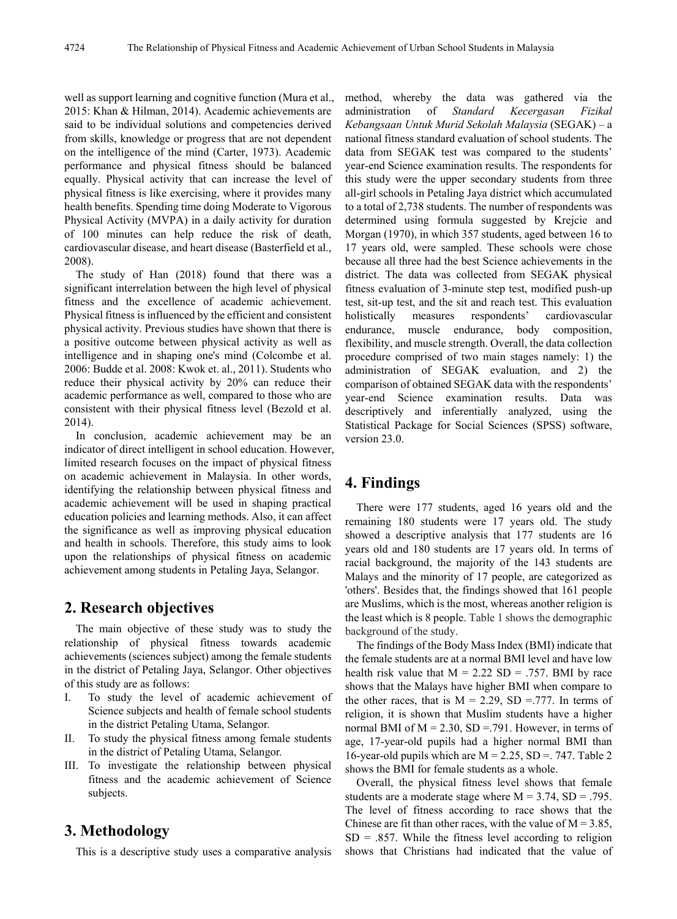well as support learning and cognitive function (Mura et al., 2015: Khan & Hilman, 2014). Academic achievements are said to be individual solutions and competencies derived from skills, knowledge or progress that are not dependent on the intelligence of the mind (Carter, 1973). Academic performance and physical fitness should be balanced equally. Physical activity that can increase the level of physical fitness is like exercising, where it provides many health benefits. Spending time doing Moderate to Vigorous Physical Activity (MVPA) in a daily activity for duration of 100 minutes can help reduce the risk of death, cardiovascular disease, and heart disease (Basterfield et al., 2008).

The study of Han (2018) found that there was a significant interrelation between the high level of physical fitness and the excellence of academic achievement. Physical fitness is influenced by the efficient and consistent physical activity. Previous studies have shown that there is a positive outcome between physical activity as well as intelligence and in shaping one's mind (Colcombe et al. 2006: Budde et al. 2008: Kwok et. al., 2011). Students who reduce their physical activity by 20% can reduce their academic performance as well, compared to those who are consistent with their physical fitness level (Bezold et al. 2014).

In conclusion, academic achievement may be an indicator of direct intelligent in school education. However, limited research focuses on the impact of physical fitness on academic achievement in Malaysia. In other words, identifying the relationship between physical fitness and academic achievement will be used in shaping practical education policies and learning methods. Also, it can affect the significance as well as improving physical education and health in schools. Therefore, this study aims to look upon the relationships of physical fitness on academic achievement among students in Petaling Jaya, Selangor.

### **2. Research objectives**

The main objective of these study was to study the relationship of physical fitness towards academic achievements (sciences subject) among the female students in the district of Petaling Jaya, Selangor. Other objectives of this study are as follows:

- I. To study the level of academic achievement of Science subjects and health of female school students in the district Petaling Utama, Selangor.
- II. To study the physical fitness among female students in the district of Petaling Utama, Selangor.
- III. To investigate the relationship between physical fitness and the academic achievement of Science subjects.

# **3. Methodology**

This is a descriptive study uses a comparative analysis

method, whereby the data was gathered via the administration of *Standard Kecergasan Fizikal Kebangsaan Untuk Murid Sekolah Malaysia* (SEGAK) – a national fitness standard evaluation of school students. The data from SEGAK test was compared to the students' year-end Science examination results. The respondents for this study were the upper secondary students from three all-girl schools in Petaling Jaya district which accumulated to a total of 2,738 students. The number of respondents was determined using formula suggested by Krejcie and Morgan (1970), in which 357 students, aged between 16 to 17 years old, were sampled. These schools were chose because all three had the best Science achievements in the district. The data was collected from SEGAK physical fitness evaluation of 3-minute step test, modified push-up test, sit-up test, and the sit and reach test. This evaluation holistically measures respondents' cardiovascular endurance, muscle endurance, body composition, flexibility, and muscle strength. Overall, the data collection procedure comprised of two main stages namely: 1) the administration of SEGAK evaluation, and 2) the comparison of obtained SEGAK data with the respondents' year-end Science examination results. Data was descriptively and inferentially analyzed, using the Statistical Package for Social Sciences (SPSS) software, version 23.0.

# **4. Findings**

There were 177 students, aged 16 years old and the remaining 180 students were 17 years old. The study showed a descriptive analysis that 177 students are 16 years old and 180 students are 17 years old. In terms of racial background, the majority of the 143 students are Malays and the minority of 17 people, are categorized as 'others'. Besides that, the findings showed that 161 people are Muslims, which is the most, whereas another religion is the least which is 8 people. Table 1 shows the demographic background of the study.

The findings of the Body Mass Index (BMI) indicate that the female students are at a normal BMI level and have low health risk value that  $M = 2.22$  SD = .757. BMI by race shows that the Malays have higher BMI when compare to the other races, that is  $M = 2.29$ , SD = 777. In terms of religion, it is shown that Muslim students have a higher normal BMI of  $M = 2.30$ , SD = 791. However, in terms of age, 17-year-old pupils had a higher normal BMI than 16-year-old pupils which are  $M = 2.25$ ,  $SD = 747$ . Table 2 shows the BMI for female students as a whole.

Overall, the physical fitness level shows that female students are a moderate stage where  $M = 3.74$ ,  $SD = .795$ . The level of fitness according to race shows that the Chinese are fit than other races, with the value of  $M = 3.85$ ,  $SD = .857$ . While the fitness level according to religion shows that Christians had indicated that the value of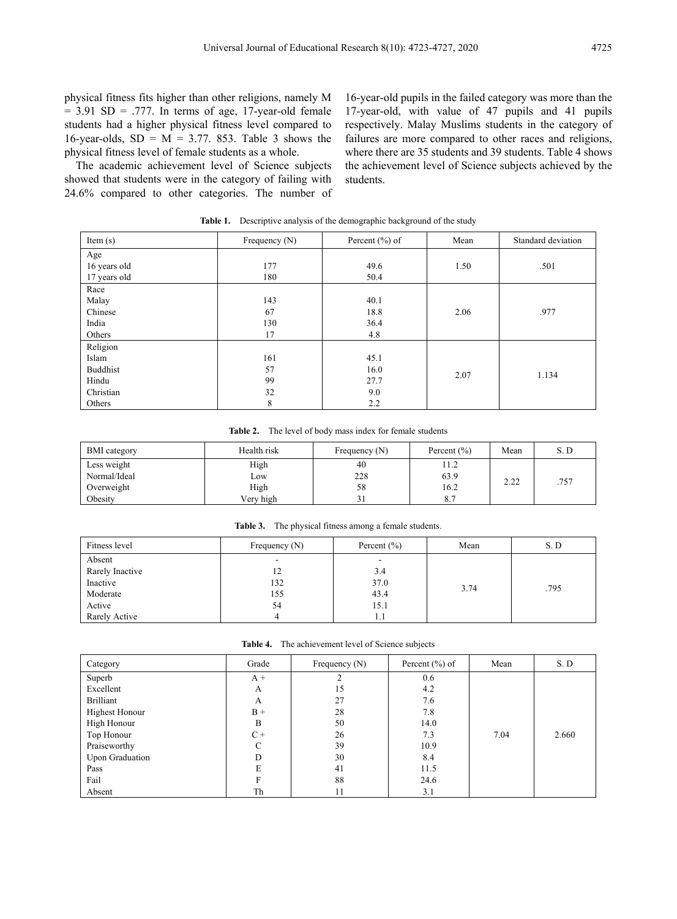physical fitness fits higher than other religions, namely M  $= 3.91$  SD  $= .777$ . In terms of age, 17-year-old female students had a higher physical fitness level compared to 16-year-olds,  $SD = M = 3.77$ . 853. Table 3 shows the physical fitness level of female students as a whole.

The academic achievement level of Science subjects showed that students were in the category of failing with 24.6% compared to other categories. The number of

16-year-old pupils in the failed category was more than the 17-year-old, with value of 47 pupils and 41 pupils respectively. Malay Muslims students in the category of failures are more compared to other races and religions, where there are 35 students and 39 students. Table 4 shows the achievement level of Science subjects achieved by the students.

| Item $(s)$      | Frequency $(N)$ | Percent $(\% )$ of | Mean | Standard deviation |
|-----------------|-----------------|--------------------|------|--------------------|
| Age             |                 |                    |      |                    |
| 16 years old    | 177             | 49.6               | 1.50 | .501               |
| 17 years old    | 180             | 50.4               |      |                    |
| Race            |                 |                    |      |                    |
| Malay           | 143             | 40.1               |      |                    |
| Chinese         | 67              | 18.8               | 2.06 | .977               |
| India           | 130             | 36.4               |      |                    |
| Others          | 17              | 4.8                |      |                    |
| Religion        |                 |                    |      |                    |
| Islam           | 161             | 45.1               |      |                    |
| <b>Buddhist</b> | 57              | 16.0               | 2.07 | 1.134              |
| Hindu           | 99              | 27.7               |      |                    |
| Christian       | 32              | 9.0                |      |                    |
| Others          | 8               | 2.2                |      |                    |

Table 1. Descriptive analysis of the demographic background of the study

| Table 2. |  |  | The level of body mass index for female students |  |
|----------|--|--|--------------------------------------------------|--|
|----------|--|--|--------------------------------------------------|--|

| <b>BMI</b> category | Health risk | Frequency $(N)$ | Percent $(\% )$ | Mean         | S. D |
|---------------------|-------------|-----------------|-----------------|--------------|------|
| Less weight         | High        | 40              | 11.2            |              |      |
| Normal/Ideal        | Low         | 228             | 63.9            | າ າາ<br>2.22 | .757 |
| Overweight          | High        | 58              | 16.2            |              |      |
| Obesity             | Very high   | ┙┚              |                 |              |      |

**Table 3.** The physical fitness among a female students.

| Fitness level   | Frequency $(N)$ | Percent $(\% )$ | Mean | S.D  |
|-----------------|-----------------|-----------------|------|------|
| Absent          | ۰               | ۰               |      |      |
| Rarely Inactive | 12              | 3.4             |      |      |
| Inactive        | 132             | 37.0            |      | .795 |
| Moderate        | 155             | 43.4            | 3.74 |      |
| Active          | 54              | 15.1            |      |      |
| Rarely Active   | 4               | 1.1             |      |      |

**Table 4.** The achievement level of Science subjects

| Category         | Grade | Frequency $(N)$ | Percent $(\% )$ of | Mean | S.D   |
|------------------|-------|-----------------|--------------------|------|-------|
| Superb           | $A +$ |                 | 0.6                |      |       |
| Excellent        | A     | 15              | 4.2                |      |       |
| <b>Brilliant</b> | A     | 27              | 7.6                |      |       |
| Highest Honour   | $B +$ | 28              | 7.8                |      |       |
| High Honour      | B     | 50              | 14.0               |      |       |
| Top Honour       | $C +$ | 26              | 7.3                | 7.04 | 2.660 |
| Praiseworthy     |       | 39              | 10.9               |      |       |
| Upon Graduation  | D     | 30              | 8.4                |      |       |
| Pass             | E     | 41              | 11.5               |      |       |
| Fail             | F     | 88              | 24.6               |      |       |
| Absent           | Th    | 11              | 3.1                |      |       |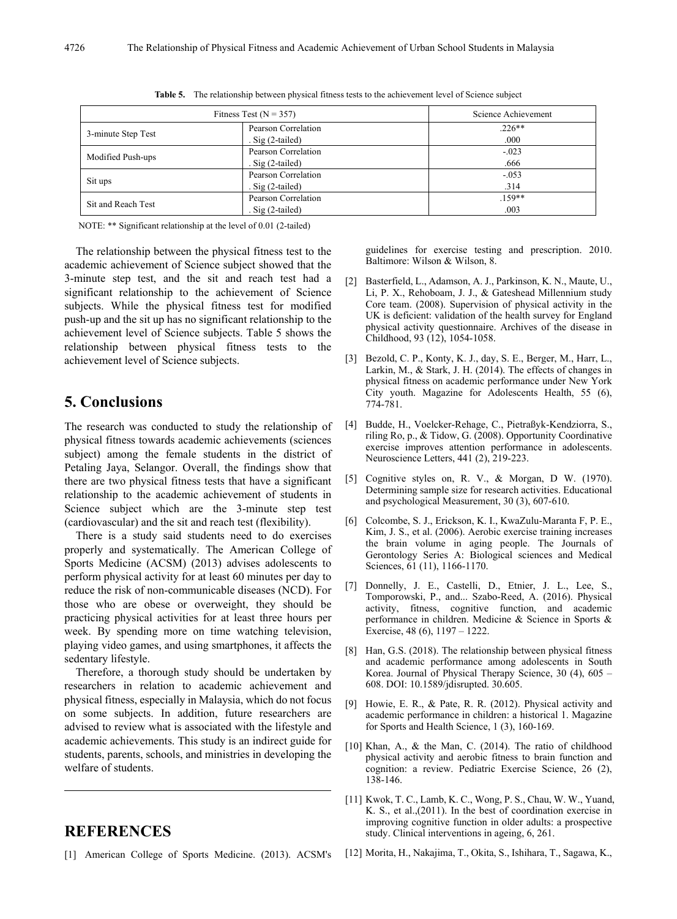| Fitness Test ( $N = 357$ )                                       |                                            | Science Achievement |  |  |
|------------------------------------------------------------------|--------------------------------------------|---------------------|--|--|
| 3-minute Step Test                                               | Pearson Correlation<br>. Sig $(2$ -tailed) | $.226**$<br>.000    |  |  |
| Modified Push-ups                                                | Pearson Correlation<br>. Sig $(2$ -tailed) | $-023$<br>.666      |  |  |
| Sit ups                                                          | Pearson Correlation<br>. Sig $(2$ -tailed) | $-.053$<br>.314     |  |  |
| Pearson Correlation<br>Sit and Reach Test<br>. Sig $(2$ -tailed) |                                            | $.159**$<br>.003    |  |  |

**Table 5.** The relationship between physical fitness tests to the achievement level of Science subject

NOTE: \*\* Significant relationship at the level of 0.01 (2-tailed)

The relationship between the physical fitness test to the academic achievement of Science subject showed that the 3-minute step test, and the sit and reach test had a significant relationship to the achievement of Science subjects. While the physical fitness test for modified push-up and the sit up has no significant relationship to the achievement level of Science subjects. Table 5 shows the relationship between physical fitness tests to the achievement level of Science subjects.

# **5. Conclusions**

The research was conducted to study the relationship of physical fitness towards academic achievements (sciences subject) among the female students in the district of Petaling Jaya, Selangor. Overall, the findings show that there are two physical fitness tests that have a significant relationship to the academic achievement of students in Science subject which are the 3-minute step test (cardiovascular) and the sit and reach test (flexibility).

There is a study said students need to do exercises properly and systematically. The American College of Sports Medicine (ACSM) (2013) advises adolescents to perform physical activity for at least 60 minutes per day to reduce the risk of non-communicable diseases (NCD). For those who are obese or overweight, they should be practicing physical activities for at least three hours per week. By spending more on time watching television, playing video games, and using smartphones, it affects the sedentary lifestyle.

Therefore, a thorough study should be undertaken by researchers in relation to academic achievement and physical fitness, especially in Malaysia, which do not focus on some subjects. In addition, future researchers are advised to review what is associated with the lifestyle and academic achievements. This study is an indirect guide for students, parents, schools, and ministries in developing the welfare of students.

# **REFERENCES**

[1] American College of Sports Medicine. (2013). ACSM's

guidelines for exercise testing and prescription. 2010. Baltimore: Wilson & Wilson, 8.

- [2] Basterfield, L., Adamson, A. J., Parkinson, K. N., Maute, U., Li, P. X., Rehoboam, J. J., & Gateshead Millennium study Core team. (2008). Supervision of physical activity in the UK is deficient: validation of the health survey for England physical activity questionnaire. Archives of the disease in Childhood, 93 (12), 1054-1058.
- [3] Bezold, C. P., Konty, K. J., day, S. E., Berger, M., Harr, L., Larkin, M., & Stark, J. H. (2014). The effects of changes in physical fitness on academic performance under New York City youth. Magazine for Adolescents Health, 55 (6), 774-781.
- [4] Budde, H., Voelcker-Rehage, C., Pietraßyk-Kendziorra, S., riling Ro, p., & Tidow, G. (2008). Opportunity Coordinative exercise improves attention performance in adolescents. Neuroscience Letters, 441 (2), 219-223.
- [5] Cognitive styles on, R. V., & Morgan, D W. (1970). Determining sample size for research activities. Educational and psychological Measurement, 30 (3), 607-610.
- [6] Colcombe, S. J., Erickson, K. I., KwaZulu-Maranta F, P. E., Kim, J. S., et al. (2006). Aerobic exercise training increases the brain volume in aging people. The Journals of Gerontology Series A: Biological sciences and Medical Sciences, 61 (11), 1166-1170.
- [7] Donnelly, J. E., Castelli, D., Etnier, J. L., Lee, S., Tomporowski, P., and... Szabo-Reed, A. (2016). Physical activity, fitness, cognitive function, and academic performance in children. Medicine & Science in Sports & Exercise, 48 (6), 1197 – 1222.
- [8] Han, G.S. (2018). The relationship between physical fitness and academic performance among adolescents in South Korea. Journal of Physical Therapy Science, 30 (4), 605 – 608. DOI: 10.1589/jdisrupted. 30.605.
- [9] Howie, E. R., & Pate, R. R. (2012). Physical activity and academic performance in children: a historical 1. Magazine for Sports and Health Science, 1 (3), 160-169.
- [10] Khan, A., & the Man, C. (2014). The ratio of childhood physical activity and aerobic fitness to brain function and cognition: a review. Pediatric Exercise Science, 26 (2), 138-146.
- [11] Kwok, T. C., Lamb, K. C., Wong, P. S., Chau, W. W., Yuand, K. S., et al.,(2011). In the best of coordination exercise in improving cognitive function in older adults: a prospective study. Clinical interventions in ageing, 6, 261.
- [12] Morita, H., Nakajima, T., Okita, S., Ishihara, T., Sagawa, K.,